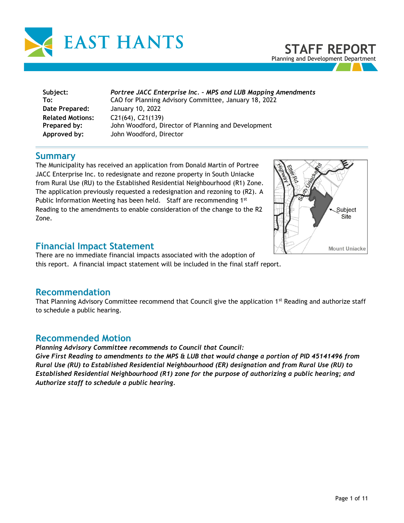

**STAFF REPORT** Planning and Development Department

| Subject:                | Portree JACC Enterprise Inc. - MPS and LUB Mapping Amendments |
|-------------------------|---------------------------------------------------------------|
| To:                     | CAO for Planning Advisory Committee, January 18, 2022         |
| Date Prepared:          | January 10, 2022                                              |
| <b>Related Motions:</b> | $C21(64)$ , $C21(139)$                                        |
| Prepared by:            | John Woodford, Director of Planning and Development           |
| Approved by:            | John Woodford, Director                                       |

#### **Summary**

The Municipality has received an application from Donald Martin of Portree JACC Enterprise Inc. to redesignate and rezone property in South Uniacke from Rural Use (RU) to the Established Residential Neighbourhood (R1) Zone. The application previously requested a redesignation and rezoning to (R2). A Public Information Meeting has been held. Staff are recommending 1st Reading to the amendments to enable consideration of the change to the R2 Zone.



## **Financial Impact Statement**

There are no immediate financial impacts associated with the adoption of this report. A financial impact statement will be included in the final staff report.

#### **Recommendation**

That Planning Advisory Committee recommend that Council give the application 1<sup>st</sup> Reading and authorize staff to schedule a public hearing.

#### **Recommended Motion**

*Planning Advisory Committee recommends to Council that Council:* 

*Give First Reading to amendments to the MPS & LUB that would change a portion of PID 45141496 from Rural Use (RU) to Established Residential Neighbourhood (ER) designation and from Rural Use (RU) to Established Residential Neighbourhood (R1) zone for the purpose of authorizing a public hearing; and Authorize staff to schedule a public hearing.*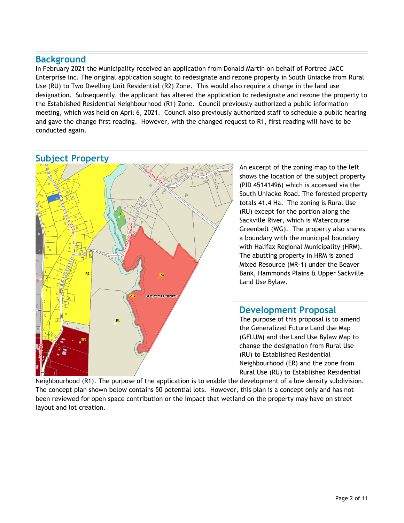#### **Background**

In February 2021 the Municipality received an application from Donald Martin on behalf of Portree JACC Enterprise Inc. The original application sought to redesignate and rezone property in South Uniacke from Rural Use (RU) to Two Dwelling Unit Residential (R2) Zone. This would also require a change in the land use designation. Subsequently, the applicant has altered the application to redesignate and rezone the property to the Established Residential Neighbourhood (R1) Zone. Council previously authorized a public information meeting, which was held on April 6, 2021. Council also previously authorized staff to schedule a public hearing and gave the change first reading. However, with the changed request to R1, first reading will have to be conducted again.



An excerpt of the zoning map to the left shows the location of the subject property (PID 45141496) which is accessed via the South Uniacke Road. The forested property totals 41.4 Ha. The zoning is Rural Use (RU) except for the portion along the Sackville River, which is Watercourse Greenbelt (WG). The property also shares a boundary with the municipal boundary with Halifax Regional Municipality (HRM). The abutting property in HRM is zoned Mixed Resource (MR-1) under the Beaver Bank, Hammonds Plains & Upper Sackville Land Use Bylaw.

#### **Development Proposal**

The purpose of this proposal is to amend the Generalized Future Land Use Map (GFLUM) and the Land Use Bylaw Map to change the designation from Rural Use (RU) to Established Residential Neighbourhood (ER) and the zone from Rural Use (RU) to Established Residential

Neighbourhood (R1). The purpose of the application is to enable the development of a low density subdivision. The concept plan shown below contains 50 potential lots. However, this plan is a concept only and has not been reviewed for open space contribution or the impact that wetland on the property may have on street layout and lot creation.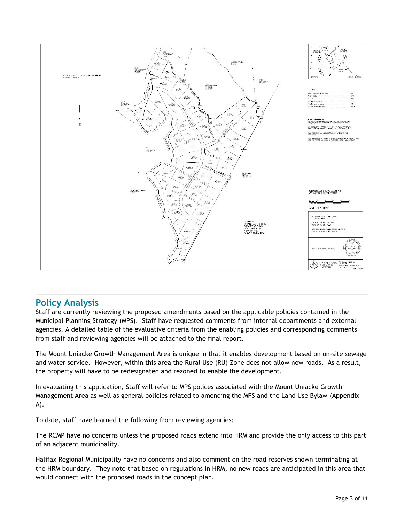

## **Policy Analysis**

Staff are currently reviewing the proposed amendments based on the applicable policies contained in the Municipal Planning Strategy (MPS). Staff have requested comments from internal departments and external agencies. A detailed table of the evaluative criteria from the enabling policies and corresponding comments from staff and reviewing agencies will be attached to the final report.

The Mount Uniacke Growth Management Area is unique in that it enables development based on on-site sewage and water service. However, within this area the Rural Use (RU) Zone does not allow new roads. As a result, the property will have to be redesignated and rezoned to enable the development.

In evaluating this application, Staff will refer to MPS polices associated with the Mount Uniacke Growth Management Area as well as general policies related to amending the MPS and the Land Use Bylaw (Appendix A).

To date, staff have learned the following from reviewing agencies:

The RCMP have no concerns unless the proposed roads extend into HRM and provide the only access to this part of an adjacent municipality.

Halifax Regional Municipality have no concerns and also comment on the road reserves shown terminating at the HRM boundary. They note that based on regulations in HRM, no new roads are anticipated in this area that would connect with the proposed roads in the concept plan.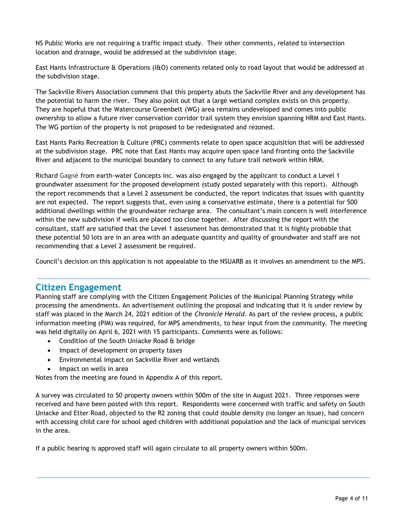NS Public Works are not requiring a traffic impact study. Their other comments, related to intersection location and drainage, would be addressed at the subdivision stage.

East Hants Infrastructure & Operations (I&O) comments related only to road layout that would be addressed at the subdivision stage.

The Sackville Rivers Association comment that this property abuts the Sackville River and any development has the potential to harm the river. They also point out that a large wetland complex exists on this property. They are hopeful that the Watercourse Greenbelt (WG) area remains undeveloped and comes into public ownership to allow a future river conservation corridor trail system they envision spanning HRM and East Hants. The WG portion of the property is not proposed to be redesignated and rezoned.

East Hants Parks Recreation & Culture (PRC) comments relate to open space acquisition that will be addressed at the subdivision stage. PRC note that East Hants may acquire open space land fronting onto the Sackville River and adjacent to the municipal boundary to connect to any future trail network within HRM.

Richard Gagné from earth-water Concepts inc. was also engaged by the applicant to conduct a Level 1 groundwater assessment for the proposed development (study posted separately with this report). Although the report recommends that a Level 2 assessment be conducted, the report indicates that issues with quantity are not expected. The report suggests that, even using a conservative estimate, there is a potential for 500 additional dwellings within the groundwater recharge area. The consultant's main concern is well interference within the new subdivision if wells are placed too close together. After discussing the report with the consultant, staff are satisfied that the Level 1 assessment has demonstrated that it is highly probable that these potential 50 lots are in an area with an adequate quantity and quality of groundwater and staff are not recommending that a Level 2 assessment be required.

Council's decision on this application is not appealable to the NSUARB as it involves an amendment to the MPS.

#### **Citizen Engagement**

Planning staff are complying with the Citizen Engagement Policies of the Municipal Planning Strategy while processing the amendments. An advertisement outlining the proposal and indicating that it is under review by staff was placed in the March 24, 2021 edition of the *Chronicle Herald*. As part of the review process, a public information meeting (PIM) was required, for MPS amendments, to hear input from the community. The meeting was held digitally on April 6, 2021 with 15 participants. Comments were as follows:

- Condition of the South Uniacke Road & bridge
- Impact of development on property taxes
- Environmental impact on Sackville River and wetlands
- Impact on wells in area

Notes from the meeting are found in Appendix A of this report.

A survey was circulated to 50 property owners within 500m of the site in August 2021. Three responses were received and have been posted with this report. Respondents were concerned with traffic and safety on South Uniacke and Etter Road, objected to the R2 zoning that could double density (no longer an issue), had concern with accessing child care for school aged children with additional population and the lack of municipal services in the area.

If a public hearing is approved staff will again circulate to all property owners within 500m.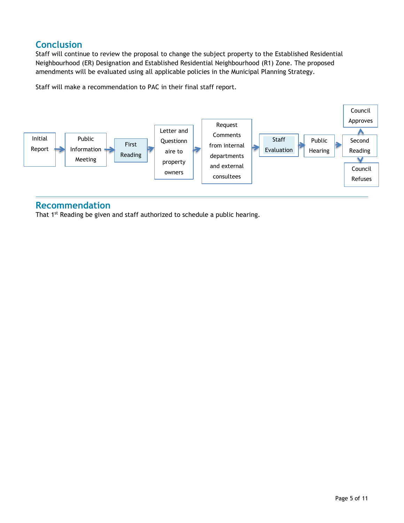# **Conclusion**

Staff will continue to review the proposal to change the subject property to the Established Residential Neighbourhood (ER) Designation and Established Residential Neighbourhood (R1) Zone. The proposed amendments will be evaluated using all applicable policies in the Municipal Planning Strategy.

Staff will make a recommendation to PAC in their final staff report.



#### **Recommendation**

That 1<sup>st</sup> Reading be given and staff authorized to schedule a public hearing.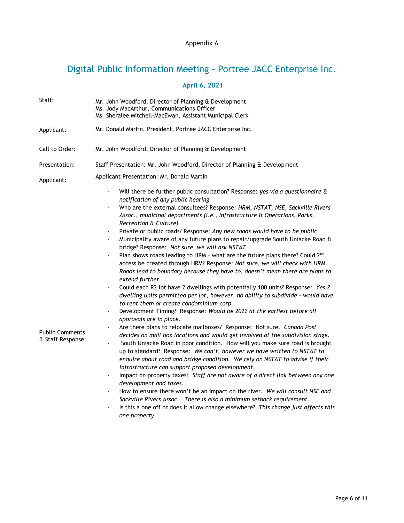#### Appendix A

# Digital Public Information Meeting – Portree JACC Enterprise Inc.

## **April 6, 2021**

| Staff:                                      | Mr. John Woodford, Director of Planning & Development<br>Ms. Jody MacArthur, Communications Officer<br>Ms. Sheralee Mitchell-MacEwan, Assistant Municipal Clerk                                                                                                                                                                                                                                                                                                                                                                                                                                                                                                                                                                                                                                                                                                                                                                                                                                                                                                                                                                                                                                                                                                                                                                                                                                                                                                                                                                                                                                                                                                                                                                                                                                                                                                                                                                                                                                                                                                                                                          |  |
|---------------------------------------------|--------------------------------------------------------------------------------------------------------------------------------------------------------------------------------------------------------------------------------------------------------------------------------------------------------------------------------------------------------------------------------------------------------------------------------------------------------------------------------------------------------------------------------------------------------------------------------------------------------------------------------------------------------------------------------------------------------------------------------------------------------------------------------------------------------------------------------------------------------------------------------------------------------------------------------------------------------------------------------------------------------------------------------------------------------------------------------------------------------------------------------------------------------------------------------------------------------------------------------------------------------------------------------------------------------------------------------------------------------------------------------------------------------------------------------------------------------------------------------------------------------------------------------------------------------------------------------------------------------------------------------------------------------------------------------------------------------------------------------------------------------------------------------------------------------------------------------------------------------------------------------------------------------------------------------------------------------------------------------------------------------------------------------------------------------------------------------------------------------------------------|--|
| Applicant:                                  | Mr. Donald Martin, President, Portree JACC Enterprise Inc.                                                                                                                                                                                                                                                                                                                                                                                                                                                                                                                                                                                                                                                                                                                                                                                                                                                                                                                                                                                                                                                                                                                                                                                                                                                                                                                                                                                                                                                                                                                                                                                                                                                                                                                                                                                                                                                                                                                                                                                                                                                               |  |
| Call to Order:                              | Mr. John Woodford, Director of Planning & Development                                                                                                                                                                                                                                                                                                                                                                                                                                                                                                                                                                                                                                                                                                                                                                                                                                                                                                                                                                                                                                                                                                                                                                                                                                                                                                                                                                                                                                                                                                                                                                                                                                                                                                                                                                                                                                                                                                                                                                                                                                                                    |  |
| Presentation:                               | Staff Presentation: Mr. John Woodford, Director of Planning & Development                                                                                                                                                                                                                                                                                                                                                                                                                                                                                                                                                                                                                                                                                                                                                                                                                                                                                                                                                                                                                                                                                                                                                                                                                                                                                                                                                                                                                                                                                                                                                                                                                                                                                                                                                                                                                                                                                                                                                                                                                                                |  |
| Applicant:                                  | Applicant Presentation: Mr. Donald Martin                                                                                                                                                                                                                                                                                                                                                                                                                                                                                                                                                                                                                                                                                                                                                                                                                                                                                                                                                                                                                                                                                                                                                                                                                                                                                                                                                                                                                                                                                                                                                                                                                                                                                                                                                                                                                                                                                                                                                                                                                                                                                |  |
| <b>Public Comments</b><br>& Staff Response: | Will there be further public consultation? Response: yes via a questionnaire &<br>$\overline{a}$<br>notification of any public hearing<br>Who are the external consultees? Response: HRM, NSTAT, NSE, Sackville Rivers<br>Assoc., municipal departments (i.e., Infrastructure & Operations, Parks,<br>Recreation & Culture)<br>Private or public roads? Response: Any new roads would have to be public<br>$\overline{\phantom{a}}$<br>Municipality aware of any future plans to repair/upgrade South Uniacke Road &<br>$\blacksquare$<br>bridge? Response: Not sure, we will ask NSTAT<br>Plan shows roads leading to HRM - what are the future plans there? Could 2nd<br>$\blacksquare$<br>access be created through HRM? Response: Not sure, we will check with HRM.<br>Roads lead to boundary because they have to, doesn't mean there are plans to<br>extend further.<br>Could each R2 lot have 2 dwellings with potentially 100 units? Response: Yes 2<br>$\blacksquare$<br>dwelling units permitted per lot, however, no ability to subdivide - would have<br>to rent them or create condominium corp.<br>Development Timing? Response: Would be 2022 at the earliest before all<br>$\blacksquare$<br>approvals are in place.<br>Are there plans to relocate mailboxes? Response: Not sure. Canada Post<br>decides on mail box locations and would get involved at the subdivision stage.<br>South Uniacke Road in poor condition. How will you make sure road is brought<br>$\blacksquare$<br>up to standard? Response: We can't, however we have written to NSTAT to<br>enquire about road and bridge condition. We rely on NSTAT to advise if their<br>infrastructure can support proposed development.<br>Impact on property taxes? Staff are not aware of a direct link between any one<br>development and taxes.<br>How to ensure there won't be an impact on the river. We will consult NSE and<br>$\overline{\phantom{a}}$<br>Sackville Rivers Assoc. There is also a minimum setback requirement.<br>Is this a one off or does it allow change elsewhere? This change just affects this<br>one property. |  |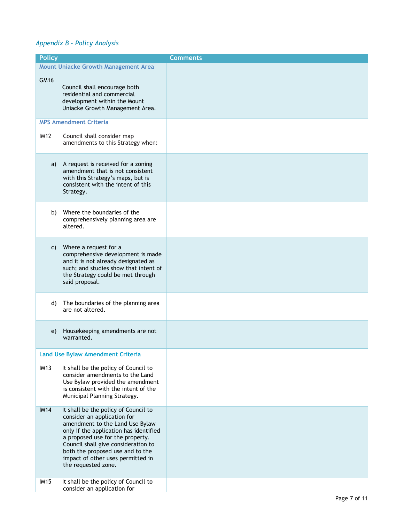#### *Appendix B – Policy Analysis*

| <b>Policy</b>              |                                                                                                                                                                                                                                                                                                                                                                     | <b>Comments</b> |
|----------------------------|---------------------------------------------------------------------------------------------------------------------------------------------------------------------------------------------------------------------------------------------------------------------------------------------------------------------------------------------------------------------|-----------------|
|                            | <b>Mount Uniacke Growth Management Area</b>                                                                                                                                                                                                                                                                                                                         |                 |
| GM16                       | Council shall encourage both<br>residential and commercial<br>development within the Mount<br>Uniacke Growth Management Area.                                                                                                                                                                                                                                       |                 |
|                            | <b>MPS Amendment Criteria</b>                                                                                                                                                                                                                                                                                                                                       |                 |
| <b>IM12</b>                | Council shall consider map<br>amendments to this Strategy when:                                                                                                                                                                                                                                                                                                     |                 |
| a)                         | A request is received for a zoning<br>amendment that is not consistent<br>with this Strategy's maps, but is<br>consistent with the intent of this<br>Strategy.                                                                                                                                                                                                      |                 |
| b)                         | Where the boundaries of the<br>comprehensively planning area are<br>altered.                                                                                                                                                                                                                                                                                        |                 |
| C)                         | Where a request for a<br>comprehensive development is made<br>and it is not already designated as<br>such; and studies show that intent of<br>the Strategy could be met through<br>said proposal.                                                                                                                                                                   |                 |
| d)                         | The boundaries of the planning area<br>are not altered.                                                                                                                                                                                                                                                                                                             |                 |
| e)                         | Housekeeping amendments are not<br>warranted.                                                                                                                                                                                                                                                                                                                       |                 |
|                            | <b>Land Use Bylaw Amendment Criteria</b>                                                                                                                                                                                                                                                                                                                            |                 |
| <b>IM13</b>                | It shall be the policy of Council to<br>consider amendments to the Land<br>Use Bylaw provided the amendment<br>is consistent with the intent of the<br>Municipal Planning Strategy.                                                                                                                                                                                 |                 |
| <b>IM14</b><br><b>IM15</b> | It shall be the policy of Council to<br>consider an application for<br>amendment to the Land Use Bylaw<br>only if the application has identified<br>a proposed use for the property.<br>Council shall give consideration to<br>both the proposed use and to the<br>impact of other uses permitted in<br>the requested zone.<br>It shall be the policy of Council to |                 |
|                            | consider an application for                                                                                                                                                                                                                                                                                                                                         |                 |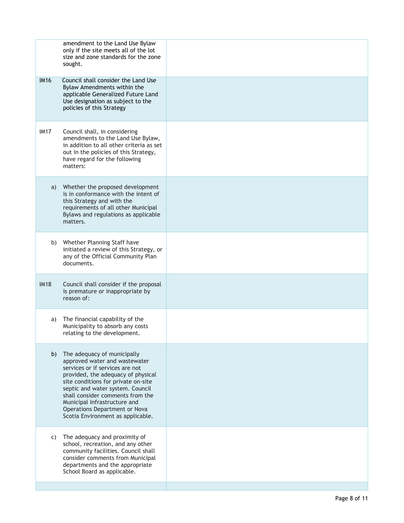|             | amendment to the Land Use Bylaw<br>only if the site meets all of the lot<br>size and zone standards for the zone<br>sought.                                                                                                                                                                                                                                |  |
|-------------|------------------------------------------------------------------------------------------------------------------------------------------------------------------------------------------------------------------------------------------------------------------------------------------------------------------------------------------------------------|--|
| <b>IM16</b> | Council shall consider the Land Use<br>Bylaw Amendments within the<br>applicable Generalized Future Land<br>Use designation as subject to the<br>policies of this Strategy                                                                                                                                                                                 |  |
| <b>IM17</b> | Council shall, in considering<br>amendments to the Land Use Bylaw,<br>in addition to all other criteria as set<br>out in the policies of this Strategy,<br>have regard for the following<br>matters:                                                                                                                                                       |  |
| a)          | Whether the proposed development<br>is in conformance with the intent of<br>this Strategy and with the<br>requirements of all other Municipal<br>Bylaws and regulations as applicable<br>matters.                                                                                                                                                          |  |
| b)          | Whether Planning Staff have<br>initiated a review of this Strategy, or<br>any of the Official Community Plan<br>documents.                                                                                                                                                                                                                                 |  |
| <b>IM18</b> | Council shall consider if the proposal<br>is premature or inappropriate by<br>reason of:                                                                                                                                                                                                                                                                   |  |
| a)          | The financial capability of the<br>Municipality to absorb any costs<br>relating to the development.                                                                                                                                                                                                                                                        |  |
| b)          | The adequacy of municipally<br>approved water and wastewater<br>services or if services are not<br>provided, the adequacy of physical<br>site conditions for private on-site<br>septic and water system. Council<br>shall consider comments from the<br>Municipal Infrastructure and<br>Operations Department or Nova<br>Scotia Environment as applicable. |  |
| C)          | The adequacy and proximity of<br>school, recreation, and any other<br>community facilities. Council shall<br>consider comments from Municipal<br>departments and the appropriate<br>School Board as applicable.                                                                                                                                            |  |
|             |                                                                                                                                                                                                                                                                                                                                                            |  |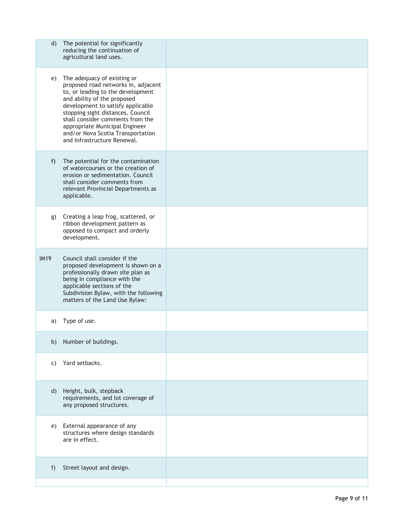| $\mathsf{d}$ | The potential for significantly<br>reducing the continuation of<br>agricultural land uses.                                                                                                                                                                                                                                                                 |  |
|--------------|------------------------------------------------------------------------------------------------------------------------------------------------------------------------------------------------------------------------------------------------------------------------------------------------------------------------------------------------------------|--|
| e)           | The adequacy of existing or<br>proposed road networks in, adjacent<br>to, or leading to the development<br>and ability of the proposed<br>development to satisfy applicable<br>stopping sight distances. Council<br>shall consider comments from the<br>appropriate Municipal Engineer<br>and/or Nova Scotia Transportation<br>and Infrastructure Renewal. |  |
| f)           | The potential for the contamination<br>of watercourses or the creation of<br>erosion or sedimentation. Council<br>shall consider comments from<br>relevant Provincial Departments as<br>applicable.                                                                                                                                                        |  |
| g)           | Creating a leap frog, scattered, or<br>ribbon development pattern as<br>opposed to compact and orderly<br>development.                                                                                                                                                                                                                                     |  |
| <b>IM19</b>  | Council shall consider if the<br>proposed development is shown on a<br>professionally drawn site plan as<br>being in compliance with the<br>applicable sections of the<br>Subdivision Bylaw, with the following<br>matters of the Land Use Bylaw:                                                                                                          |  |
| a)           | Type of use.                                                                                                                                                                                                                                                                                                                                               |  |
| b)           | Number of buildings.                                                                                                                                                                                                                                                                                                                                       |  |
| C)           | Yard setbacks.                                                                                                                                                                                                                                                                                                                                             |  |
| d)           | Height, bulk, stepback<br>requirements, and lot coverage of<br>any proposed structures.                                                                                                                                                                                                                                                                    |  |
| e)           | External appearance of any<br>structures where design standards<br>are in effect.                                                                                                                                                                                                                                                                          |  |
| f)           | Street layout and design.                                                                                                                                                                                                                                                                                                                                  |  |
|              |                                                                                                                                                                                                                                                                                                                                                            |  |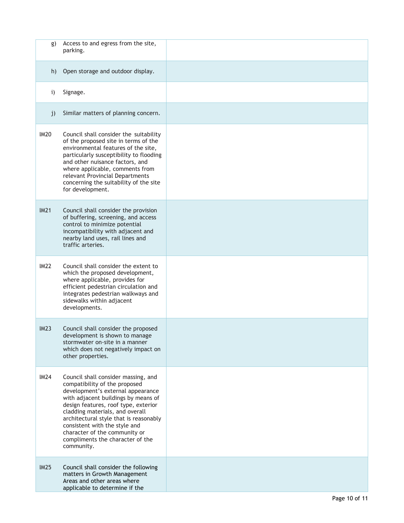| g)          | Access to and egress from the site,<br>parking.                                                                                                                                                                                                                                                                                                                                           |  |
|-------------|-------------------------------------------------------------------------------------------------------------------------------------------------------------------------------------------------------------------------------------------------------------------------------------------------------------------------------------------------------------------------------------------|--|
| h)          | Open storage and outdoor display.                                                                                                                                                                                                                                                                                                                                                         |  |
| i)          | Signage.                                                                                                                                                                                                                                                                                                                                                                                  |  |
| j)          | Similar matters of planning concern.                                                                                                                                                                                                                                                                                                                                                      |  |
| <b>IM20</b> | Council shall consider the suitability<br>of the proposed site in terms of the<br>environmental features of the site,<br>particularly susceptibility to flooding<br>and other nuisance factors, and<br>where applicable, comments from<br>relevant Provincial Departments<br>concerning the suitability of the site<br>for development.                                                   |  |
| <b>IM21</b> | Council shall consider the provision<br>of buffering, screening, and access<br>control to minimize potential<br>incompatibility with adjacent and<br>nearby land uses, rail lines and<br>traffic arteries.                                                                                                                                                                                |  |
| IM22        | Council shall consider the extent to<br>which the proposed development,<br>where applicable, provides for<br>efficient pedestrian circulation and<br>integrates pedestrian walkways and<br>sidewalks within adjacent<br>developments.                                                                                                                                                     |  |
| IM23        | Council shall consider the proposed<br>development is shown to manage<br>stormwater on-site in a manner<br>which does not negatively impact on<br>other properties.                                                                                                                                                                                                                       |  |
| IM24        | Council shall consider massing, and<br>compatibility of the proposed<br>development's external appearance<br>with adjacent buildings by means of<br>design features, roof type, exterior<br>cladding materials, and overall<br>architectural style that is reasonably<br>consistent with the style and<br>character of the community or<br>compliments the character of the<br>community. |  |
| IM25        | Council shall consider the following<br>matters in Growth Management<br>Areas and other areas where<br>applicable to determine if the                                                                                                                                                                                                                                                     |  |